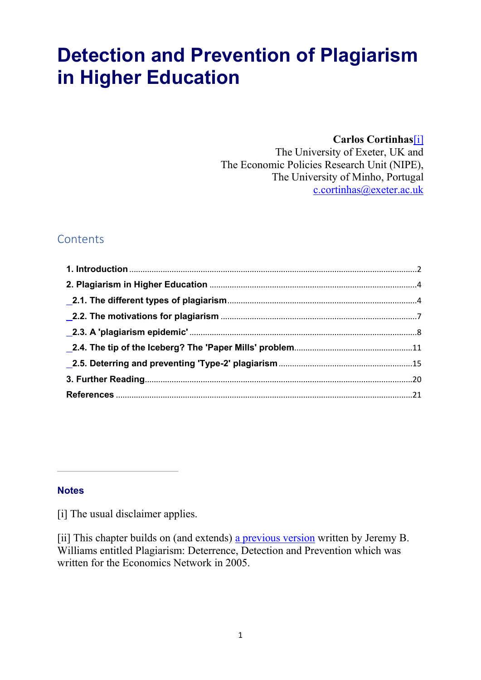# Detection and Prevention of Plagiarism in Higher Education

#### **Carlos Cortinhas**[\[i\]](https://www.economicsnetwork.ac.uk/#_edn1)

The University of Exeter, UK and The Economic Policies Research Unit (NIPE), The University of Minho, Portugal [c.cortinhas@exeter.ac.uk](mailto:c.cortinhas@exeter.ac.uk)

### **Contents**

#### **Notes**

[i] The usual disclaimer applies.

[ii] This chapter builds on (and extends) [a previous version](https://www.economicsnetwork.ac.uk/handbook/plagiarism) written by Jeremy B. Williams entitled Plagiarism: Deterrence, Detection and Prevention which was written for the Economics Network in 2005.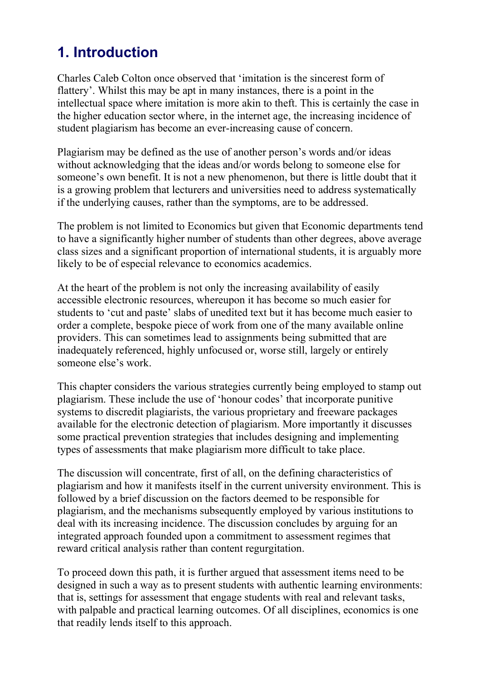### <span id="page-1-0"></span>1. Introduction

Charles Caleb Colton once observed that 'imitation is the sincerest form of flattery'. Whilst this may be apt in many instances, there is a point in the intellectual space where imitation is more akin to theft. This is certainly the case in the higher education sector where, in the internet age, the increasing incidence of student plagiarism has become an ever-increasing cause of concern.

Plagiarism may be defined as the use of another person's words and/or ideas without acknowledging that the ideas and/or words belong to someone else for someone's own benefit. It is not a new phenomenon, but there is little doubt that it is a growing problem that lecturers and universities need to address systematically if the underlying causes, rather than the symptoms, are to be addressed.

The problem is not limited to Economics but given that Economic departments tend to have a significantly higher number of students than other degrees, above average class sizes and a significant proportion of international students, it is arguably more likely to be of especial relevance to economics academics.

At the heart of the problem is not only the increasing availability of easily accessible electronic resources, whereupon it has become so much easier for students to 'cut and paste' slabs of unedited text but it has become much easier to order a complete, bespoke piece of work from one of the many available online providers. This can sometimes lead to assignments being submitted that are inadequately referenced, highly unfocused or, worse still, largely or entirely someone else's work.

This chapter considers the various strategies currently being employed to stamp out plagiarism. These include the use of 'honour codes' that incorporate punitive systems to discredit plagiarists, the various proprietary and freeware packages available for the electronic detection of plagiarism. More importantly it discusses some practical prevention strategies that includes designing and implementing types of assessments that make plagiarism more difficult to take place.

The discussion will concentrate, first of all, on the defining characteristics of plagiarism and how it manifests itself in the current university environment. This is followed by a brief discussion on the factors deemed to be responsible for plagiarism, and the mechanisms subsequently employed by various institutions to deal with its increasing incidence. The discussion concludes by arguing for an integrated approach founded upon a commitment to assessment regimes that reward critical analysis rather than content regurgitation.

To proceed down this path, it is further argued that assessment items need to be designed in such a way as to present students with authentic learning environments: that is, settings for assessment that engage students with real and relevant tasks, with palpable and practical learning outcomes. Of all disciplines, economics is one that readily lends itself to this approach.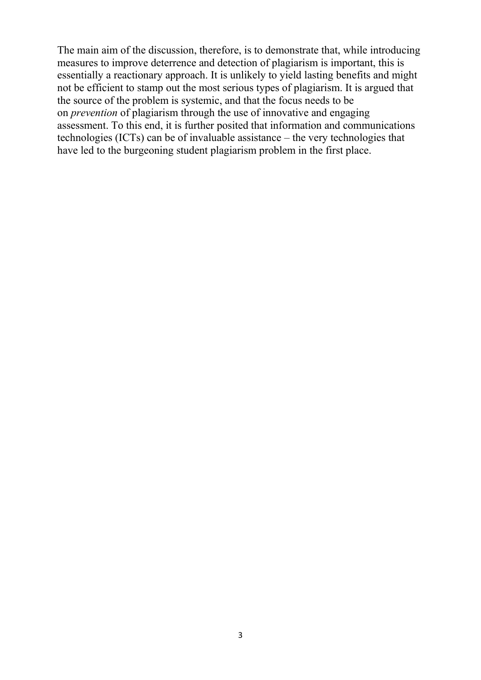The main aim of the discussion, therefore, is to demonstrate that, while introducing measures to improve deterrence and detection of plagiarism is important, this is essentially a reactionary approach. It is unlikely to yield lasting benefits and might not be efficient to stamp out the most serious types of plagiarism. It is argued that the source of the problem is systemic, and that the focus needs to be on *prevention* of plagiarism through the use of innovative and engaging assessment. To this end, it is further posited that information and communications technologies (ICTs) can be of invaluable assistance – the very technologies that have led to the burgeoning student plagiarism problem in the first place.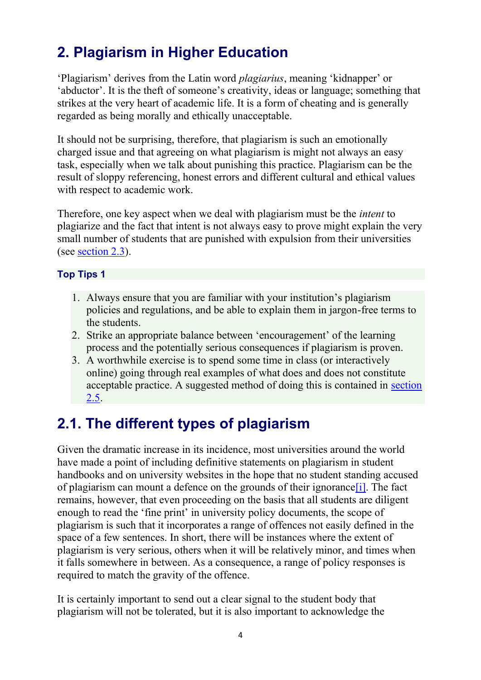## <span id="page-3-0"></span>2. Plagiarism in Higher Education

'Plagiarism' derives from the Latin word *plagiarius*, meaning 'kidnapper' or 'abductor'. It is the theft of someone's creativity, ideas or language; something that strikes at the very heart of academic life. It is a form of cheating and is generally regarded as being morally and ethically unacceptable.

It should not be surprising, therefore, that plagiarism is such an emotionally charged issue and that agreeing on what plagiarism is might not always an easy task, especially when we talk about punishing this practice. Plagiarism can be the result of sloppy referencing, honest errors and different cultural and ethical values with respect to academic work.

Therefore, one key aspect when we deal with plagiarism must be the *intent* to plagiarize and the fact that intent is not always easy to prove might explain the very small number of students that are punished with expulsion from their universities (see [section 2.3\)](https://www.economicsnetwork.ac.uk/handbook/plagiarism_he/23).

#### Top Tips 1

- 1. Always ensure that you are familiar with your institution's plagiarism policies and regulations, and be able to explain them in jargon-free terms to the students.
- 2. Strike an appropriate balance between 'encouragement' of the learning process and the potentially serious consequences if plagiarism is proven.
- 3. A worthwhile exercise is to spend some time in class (or interactively online) going through real examples of what does and does not constitute acceptable practice. A suggested method of doing this is contained in [section](https://www.economicsnetwork.ac.uk/handbook/plagiarism_he/25)  [2.5.](https://www.economicsnetwork.ac.uk/handbook/plagiarism_he/25)

### <span id="page-3-1"></span>2.1. The different types of plagiarism

Given the dramatic increase in its incidence, most universities around the world have made a point of including definitive statements on plagiarism in student handbooks and on university websites in the hope that no student standing accused of plagiarism can mount a defence on the grounds of their ignoranc[e\[i\].](https://www.economicsnetwork.ac.uk/#_edn1) The fact remains, however, that even proceeding on the basis that all students are diligent enough to read the 'fine print' in university policy documents, the scope of plagiarism is such that it incorporates a range of offences not easily defined in the space of a few sentences. In short, there will be instances where the extent of plagiarism is very serious, others when it will be relatively minor, and times when it falls somewhere in between. As a consequence, a range of policy responses is required to match the gravity of the offence.

It is certainly important to send out a clear signal to the student body that plagiarism will not be tolerated, but it is also important to acknowledge the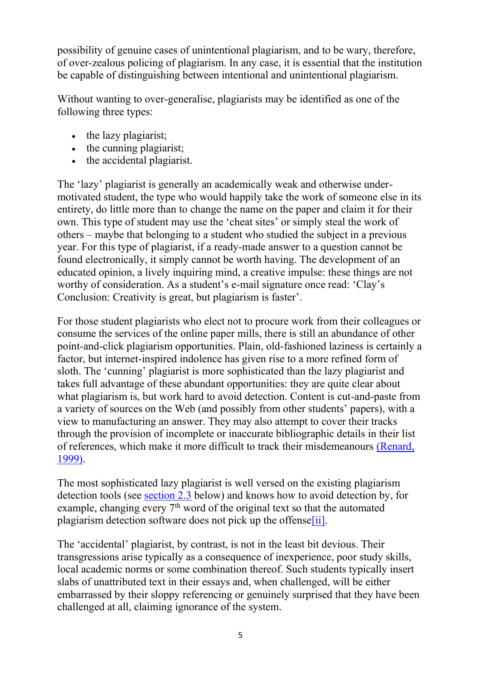possibility of genuine cases of unintentional plagiarism, and to be wary, therefore, of over-zealous policing of plagiarism. In any case, it is essential that the institution be capable of distinguishing between intentional and unintentional plagiarism.

Without wanting to over-generalise, plagiarists may be identified as one of the following three types:

- the lazy plagiarist;
- the cunning plagiarist;
- the accidental plagiarist.

The 'lazy' plagiarist is generally an academically weak and otherwise undermotivated student, the type who would happily take the work of someone else in its entirety, do little more than to change the name on the paper and claim it for their own. This type of student may use the 'cheat sites' or simply steal the work of others – maybe that belonging to a student who studied the subject in a previous year. For this type of plagiarist, if a ready-made answer to a question cannot be found electronically, it simply cannot be worth having. The development of an educated opinion, a lively inquiring mind, a creative impulse: these things are not worthy of consideration. As a student's e-mail signature once read: 'Clay's Conclusion: Creativity is great, but plagiarism is faster'.

For those student plagiarists who elect not to procure work from their colleagues or consume the services of the online paper mills, there is still an abundance of other point-and-click plagiarism opportunities. Plain, old-fashioned laziness is certainly a factor, but internet-inspired indolence has given rise to a more refined form of sloth. The 'cunning' plagiarist is more sophisticated than the lazy plagiarist and takes full advantage of these abundant opportunities: they are quite clear about what plagiarism is, but work hard to avoid detection. Content is cut-and-paste from a variety of sources on the Web (and possibly from other students' papers), with a view to manufacturing an answer. They may also attempt to cover their tracks through the provision of incomplete or inaccurate bibliographic details in their list of references, which make it more difficult to track their misdemeanours [\(Renard,](https://www.economicsnetwork.ac.uk/refs#Renard)  [1999\).](https://www.economicsnetwork.ac.uk/refs#Renard)

The most sophisticated lazy plagiarist is well versed on the existing plagiarism detection tools (see [section](https://www.economicsnetwork.ac.uk/handbook/plagiarism_he/23) 2.3 below) and knows how to avoid detection by, for example, changing every  $7<sup>th</sup>$  word of the original text so that the automated plagiarism detection software does not pick up the offens[e\[ii\].](https://www.economicsnetwork.ac.uk/#_edn2)

The 'accidental' plagiarist, by contrast, is not in the least bit devious. Their transgressions arise typically as a consequence of inexperience, poor study skills, local academic norms or some combination thereof. Such students typically insert slabs of unattributed text in their essays and, when challenged, will be either embarrassed by their sloppy referencing or genuinely surprised that they have been challenged at all, claiming ignorance of the system.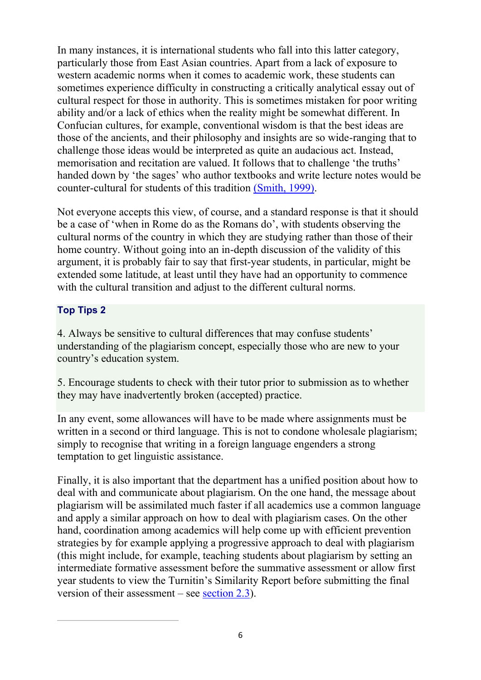In many instances, it is international students who fall into this latter category, particularly those from East Asian countries. Apart from a lack of exposure to western academic norms when it comes to academic work, these students can sometimes experience difficulty in constructing a critically analytical essay out of cultural respect for those in authority. This is sometimes mistaken for poor writing ability and/or a lack of ethics when the reality might be somewhat different. In Confucian cultures, for example, conventional wisdom is that the best ideas are those of the ancients, and their philosophy and insights are so wide-ranging that to challenge those ideas would be interpreted as quite an audacious act. Instead, memorisation and recitation are valued. It follows that to challenge 'the truths' handed down by 'the sages' who author textbooks and write lecture notes would be counter-cultural for students of this tradition [\(Smith, 1999\).](https://www.economicsnetwork.ac.uk/refs#Smith)

Not everyone accepts this view, of course, and a standard response is that it should be a case of 'when in Rome do as the Romans do', with students observing the cultural norms of the country in which they are studying rather than those of their home country. Without going into an in-depth discussion of the validity of this argument, it is probably fair to say that first-year students, in particular, might be extended some latitude, at least until they have had an opportunity to commence with the cultural transition and adjust to the different cultural norms.

#### Top Tips 2

4. Always be sensitive to cultural differences that may confuse students' understanding of the plagiarism concept, especially those who are new to your country's education system.

5. Encourage students to check with their tutor prior to submission as to whether they may have inadvertently broken (accepted) practice.

In any event, some allowances will have to be made where assignments must be written in a second or third language. This is not to condone wholesale plagiarism; simply to recognise that writing in a foreign language engenders a strong temptation to get linguistic assistance.

Finally, it is also important that the department has a unified position about how to deal with and communicate about plagiarism. On the one hand, the message about plagiarism will be assimilated much faster if all academics use a common language and apply a similar approach on how to deal with plagiarism cases. On the other hand, coordination among academics will help come up with efficient prevention strategies by for example applying a progressive approach to deal with plagiarism (this might include, for example, teaching students about plagiarism by setting an intermediate formative assessment before the summative assessment or allow first year students to view the Turnitin's Similarity Report before submitting the final version of their assessment – see [section 2.3\)](https://www.economicsnetwork.ac.uk/handbook/plagiarism_he/23).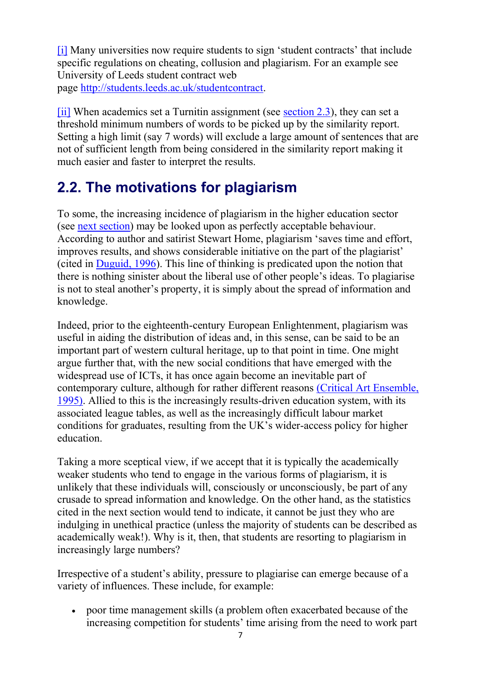[\[i\]](https://www.economicsnetwork.ac.uk/#_ednref1) Many universities now require students to sign 'student contracts' that include specific regulations on cheating, collusion and plagiarism. For an example see University of Leeds student contract web page [http://students.leeds.ac.uk/studentcontract.](http://students.leeds.ac.uk/studentcontract)

[\[ii\]](https://www.economicsnetwork.ac.uk/#_ednref2) When academics set a Turnitin assignment (see [section 2.3\)](https://www.economicsnetwork.ac.uk/handbook/plagiarism_he/23), they can set a threshold minimum numbers of words to be picked up by the similarity report. Setting a high limit (say 7 words) will exclude a large amount of sentences that are not of sufficient length from being considered in the similarity report making it much easier and faster to interpret the results.

### <span id="page-6-0"></span>2.2. The motivations for plagiarism

To some, the increasing incidence of plagiarism in the higher education sector (see [next section\)](https://www.economicsnetwork.ac.uk/handbook/plagiarism_he/23) may be looked upon as perfectly acceptable behaviour. According to author and satirist Stewart Home, plagiarism 'saves time and effort, improves results, and shows considerable initiative on the part of the plagiarist' (cited in [Duguid, 1996\)](https://www.economicsnetwork.ac.uk/refs#Duguid). This line of thinking is predicated upon the notion that there is nothing sinister about the liberal use of other people's ideas. To plagiarise is not to steal another's property, it is simply about the spread of information and knowledge.

Indeed, prior to the eighteenth-century European Enlightenment, plagiarism was useful in aiding the distribution of ideas and, in this sense, can be said to be an important part of western cultural heritage, up to that point in time. One might argue further that, with the new social conditions that have emerged with the widespread use of ICTs, it has once again become an inevitable part of contemporary culture, although for rather different reasons [\(Critical Art Ensemble,](https://www.economicsnetwork.ac.uk/refs#Critical)  [1995\).](https://www.economicsnetwork.ac.uk/refs#Critical) Allied to this is the increasingly results-driven education system, with its associated league tables, as well as the increasingly difficult labour market conditions for graduates, resulting from the UK's wider-access policy for higher education.

Taking a more sceptical view, if we accept that it is typically the academically weaker students who tend to engage in the various forms of plagiarism, it is unlikely that these individuals will, consciously or unconsciously, be part of any crusade to spread information and knowledge. On the other hand, as the statistics cited in the next section would tend to indicate, it cannot be just they who are indulging in unethical practice (unless the majority of students can be described as academically weak!). Why is it, then, that students are resorting to plagiarism in increasingly large numbers?

Irrespective of a student's ability, pressure to plagiarise can emerge because of a variety of influences. These include, for example:

• poor time management skills (a problem often exacerbated because of the increasing competition for students' time arising from the need to work part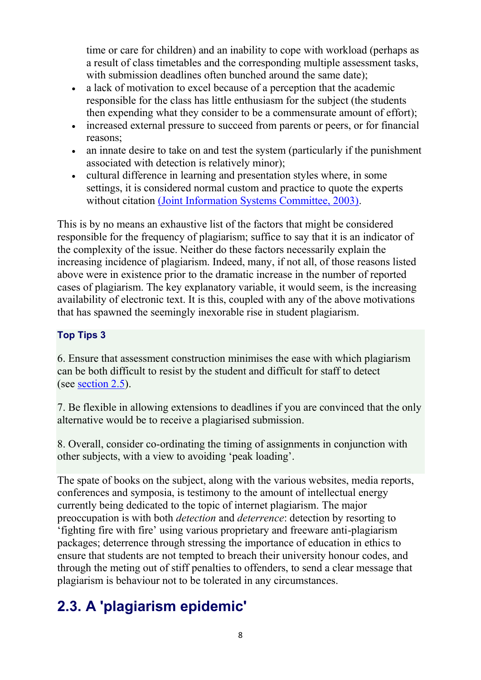time or care for children) and an inability to cope with workload (perhaps as a result of class timetables and the corresponding multiple assessment tasks, with submission deadlines often bunched around the same date);

- a lack of motivation to excel because of a perception that the academic responsible for the class has little enthusiasm for the subject (the students then expending what they consider to be a commensurate amount of effort);
- increased external pressure to succeed from parents or peers, or for financial reasons;
- an innate desire to take on and test the system (particularly if the punishment associated with detection is relatively minor);
- cultural difference in learning and presentation styles where, in some settings, it is considered normal custom and practice to quote the experts without citation [\(Joint Information Systems Committee, 2003\).](https://www.economicsnetwork.ac.uk/refs#JISC)

This is by no means an exhaustive list of the factors that might be considered responsible for the frequency of plagiarism; suffice to say that it is an indicator of the complexity of the issue. Neither do these factors necessarily explain the increasing incidence of plagiarism. Indeed, many, if not all, of those reasons listed above were in existence prior to the dramatic increase in the number of reported cases of plagiarism. The key explanatory variable, it would seem, is the increasing availability of electronic text. It is this, coupled with any of the above motivations that has spawned the seemingly inexorable rise in student plagiarism.

### Top Tips 3

6. Ensure that assessment construction minimises the ease with which plagiarism can be both difficult to resist by the student and difficult for staff to detect (see [section 2.5\)](https://www.economicsnetwork.ac.uk/handbook/plagiarism_he/25).

7. Be flexible in allowing extensions to deadlines if you are convinced that the only alternative would be to receive a plagiarised submission.

8. Overall, consider co-ordinating the timing of assignments in conjunction with other subjects, with a view to avoiding 'peak loading'.

The spate of books on the subject, along with the various websites, media reports, conferences and symposia, is testimony to the amount of intellectual energy currently being dedicated to the topic of internet plagiarism. The major preoccupation is with both *detection* and *deterrence*: detection by resorting to 'fighting fire with fire' using various proprietary and freeware anti-plagiarism packages; deterrence through stressing the importance of education in ethics to ensure that students are not tempted to breach their university honour codes, and through the meting out of stiff penalties to offenders, to send a clear message that plagiarism is behaviour not to be tolerated in any circumstances.

## <span id="page-7-0"></span>2.3. A 'plagiarism epidemic'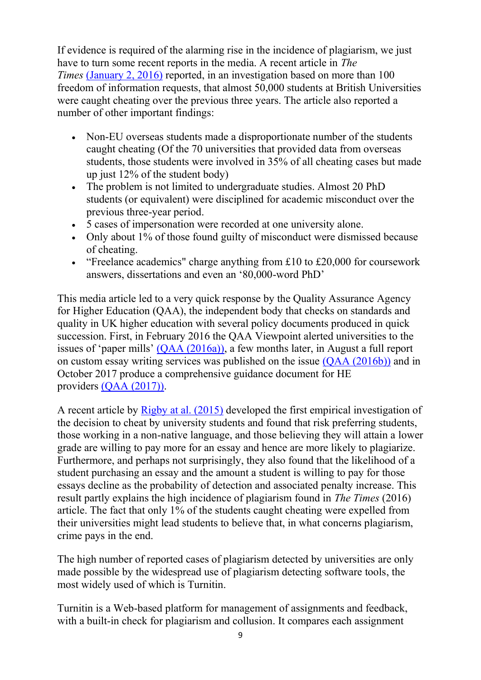If evidence is required of the alarming rise in the incidence of plagiarism, we just have to turn some recent reports in the media. A recent article in *The Times* [\(January 2, 2016\)](https://www.economicsnetwork.ac.uk/refs#Times2016) reported, in an investigation based on more than 100 freedom of information requests, that almost 50,000 students at British Universities were caught cheating over the previous three years. The article also reported a number of other important findings:

- Non-EU overseas students made a disproportionate number of the students caught cheating (Of the 70 universities that provided data from overseas students, those students were involved in 35% of all cheating cases but made up just  $12\%$  of the student body)
- The problem is not limited to undergraduate studies. Almost 20 PhD students (or equivalent) were disciplined for academic misconduct over the previous three-year period.
- 5 cases of impersonation were recorded at one university alone.
- Only about 1% of those found guilty of misconduct were dismissed because of cheating.
- "Freelance academics" charge anything from £10 to £20,000 for coursework answers, dissertations and even an '80,000-word PhD'

This media article led to a very quick response by the Quality Assurance Agency for Higher Education (QAA), the independent body that checks on standards and quality in UK higher education with several policy documents produced in quick succession. First, in February 2016 the QAA Viewpoint alerted universities to the issues of 'paper mills' [\(QAA \(2016a\)\),](https://www.economicsnetwork.ac.uk/refs#QAA2016a) a few months later, in August a full report on custom essay writing services was published on the issue [\(QAA \(2016b\)\)](https://www.economicsnetwork.ac.uk/refs#QAA2016b) and in October 2017 produce a comprehensive guidance document for HE providers [\(QAA \(2017\)\).](https://www.economicsnetwork.ac.uk/refs#QAA2017)

A recent article by [Rigby at al. \(2015\)](https://www.economicsnetwork.ac.uk/refs#Rigby) developed the first empirical investigation of the decision to cheat by university students and found that risk preferring students, those working in a non-native language, and those believing they will attain a lower grade are willing to pay more for an essay and hence are more likely to plagiarize. Furthermore, and perhaps not surprisingly, they also found that the likelihood of a student purchasing an essay and the amount a student is willing to pay for those essays decline as the probability of detection and associated penalty increase. This result partly explains the high incidence of plagiarism found in *The Times* (2016) article. The fact that only 1% of the students caught cheating were expelled from their universities might lead students to believe that, in what concerns plagiarism, crime pays in the end.

The high number of reported cases of plagiarism detected by universities are only made possible by the widespread use of plagiarism detecting software tools, the most widely used of which is Turnitin.

Turnitin is a Web-based platform for management of assignments and feedback, with a built-in check for plagiarism and collusion. It compares each assignment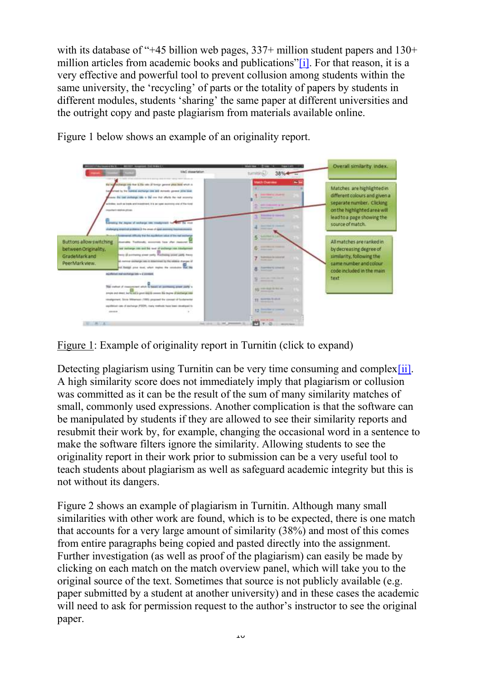with its database of "+45 billion web pages, 337+ million student papers and 130+ million articles from academic books and publications"[\[i\].](https://www.economicsnetwork.ac.uk/#_edn1) For that reason, it is a very effective and powerful tool to prevent collusion among students within the same university, the 'recycling' of parts or the totality of papers by students in different modules, students 'sharing' the same paper at different universities and the outright copy and paste plagiarism from materials available online.



Figure 1 below shows an example of an originality report.

Figure 1: Example of originality report in Turnitin (click to expand)

Detecting plagiarism using Turnitin can be very time consuming and complex [ii]. A high similarity score does not immediately imply that plagiarism or collusion was committed as it can be the result of the sum of many similarity matches of small, commonly used expressions. Another complication is that the software can be manipulated by students if they are allowed to see their similarity reports and resubmit their work by, for example, changing the occasional word in a sentence to make the software filters ignore the similarity. Allowing students to see the originality report in their work prior to submission can be a very useful tool to teach students about plagiarism as well as safeguard academic integrity but this is not without its dangers.

Figure 2 shows an example of plagiarism in Turnitin. Although many small similarities with other work are found, which is to be expected, there is one match that accounts for a very large amount of similarity (38%) and most of this comes from entire paragraphs being copied and pasted directly into the assignment. Further investigation (as well as proof of the plagiarism) can easily be made by clicking on each match on the match overview panel, which will take you to the original source of the text. Sometimes that source is not publicly available (e.g. paper submitted by a student at another university) and in these cases the academic will need to ask for permission request to the author's instructor to see the original paper.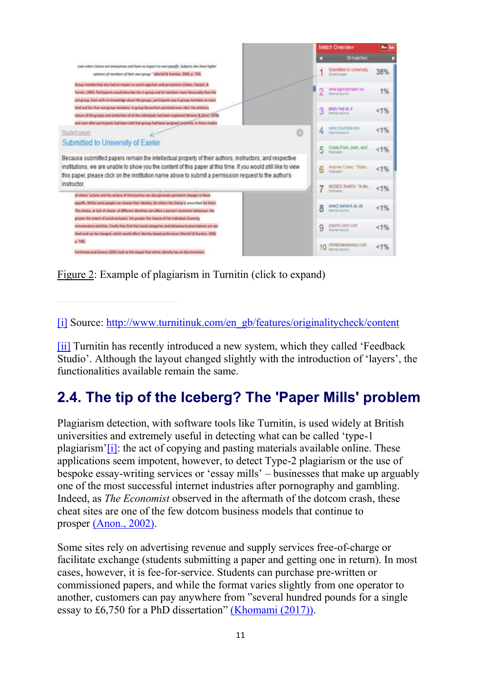|                                                                                                                                                                                                                                                                                                               |   | Match Overview                                              | <b>Bo Se</b> |
|---------------------------------------------------------------------------------------------------------------------------------------------------------------------------------------------------------------------------------------------------------------------------------------------------------------|---|-------------------------------------------------------------|--------------|
|                                                                                                                                                                                                                                                                                                               |   | 39 matches                                                  |              |
| even when choices one anonymous and have no impact on own poyoffs. Subjects also flow higher<br>spinions of members of their own group." Waerlof & Kramps, 2000, p. 7315                                                                                                                                      |   | Submitted to University.<br><b>During page</b>              | 38%          |
| Group membership also had an impact on social copistion and perceptions (Claims, Haslam, &<br>Turner, 1994). Furticipants would describe the in-group and its members more favourably than the<br>evil group. Even with no knowledge about the groups, participants saw in-group members as more              |   | wes agorapitatet eu                                         | 1%           |
| kind and fair than not-group members. Yv-group favourition persisted even after the artistrary<br>nature of the groups and unstanties of all the individuals had been explained (Brewer & Sivot) 1978)<br>and even after participants had been told that groups had been assigned candidate, to three studies |   | pluis huji ac il<br><b>BRANDER BEARS</b>                    | < 1%         |
| Student opper<br>Submitted to University of Exeter                                                                                                                                                                                                                                                            |   | WAY COUNSEL WILL<br><b>House Associat</b>                   | < 1%         |
| Because submitted papers remain the intellectual property of their authors, instructors, and respective                                                                                                                                                                                                       |   | Couts-Ford, Joan, and<br><b>PLAN AND</b>                    | 1%           |
| institutions, we are unable to show you the content of this paper at this time. If you would still like to view<br>this paper, please click on the institution name above to submit a permission request to the author's                                                                                      | 6 | Andlew Clame, "Slake,                                       | 1%           |
| instructor.<br>of others' actions and the actions of third parties can also generate penistent changes in these                                                                                                                                                                                               |   | MOSES SHAYO, "A Mo.                                         | 1%           |
| payoffs. Whilst some people can choose their identity, for others the chosen's prescribed for them.<br>This choice, or lask of choice, of different electrics can affect a person's economic behaviour; the<br>greater the extent of social exclusion, the greater the chance of the individual channing      | 8 | www2.warrwick.ac.uk<br><b><i>Internet Assets</i></b>        | 1%           |
| remunerative activities. Finally they find that secue categories and behavioural presintations are not<br>foed and car be changed, which would affect identity based preferences (Akertaf & Kranton, 2000).                                                                                                   | 9 | DROWEL 3/100 4:000<br>Imprest Auction                       | 1%           |
| 2.7481<br>Ferchtman and Greeny (2001) look at the impact that ethnic identity has no discremention.                                                                                                                                                                                                           |   | <b>CENTRICA MORTINGS EDIT</b><br><b>Important Associate</b> | 1%           |

Figure 2: Example of plagiarism in Turnitin (click to expand)

[\[i\]](https://www.economicsnetwork.ac.uk/#_ednref1) Source: [http://www.turnitinuk.com/en\\_gb/features/originalitycheck/content](http://www.turnitinuk.com/en_gb/features/originalitycheck/content)

[\[ii\]](https://www.economicsnetwork.ac.uk/#_ednref2) Turnitin has recently introduced a new system, which they called 'Feedback Studio'. Although the layout changed slightly with the introduction of 'layers', the functionalities available remain the same.

## <span id="page-10-0"></span>2.4. The tip of the Iceberg? The 'Paper Mills' problem

Plagiarism detection, with software tools like Turnitin, is used widely at British universities and extremely useful in detecting what can be called 'type-1 plagiarism'[\[i\]:](https://www.economicsnetwork.ac.uk/#_edn1) the act of copying and pasting materials available online. These applications seem impotent, however, to detect Type-2 plagiarism or the use of bespoke essay-writing services or 'essay mills' – businesses that make up arguably one of the most successful internet industries after pornography and gambling. Indeed, as *The Economist* observed in the aftermath of the dotcom crash, these cheat sites are one of the few dotcom business models that continue to prosper [\(Anon., 2002\).](https://www.economicsnetwork.ac.uk/refs#Economist2002)

Some sites rely on advertising revenue and supply services free-of-charge or facilitate exchange (students submitting a paper and getting one in return). In most cases, however, it is fee-for-service. Students can purchase pre-written or commissioned papers, and while the format varies slightly from one operator to another, customers can pay anywhere from "several hundred pounds for a single essay to £6,750 for a PhD dissertation" [\(Khomami \(2017\)\).](https://www.economicsnetwork.ac.uk/refs#Khomami)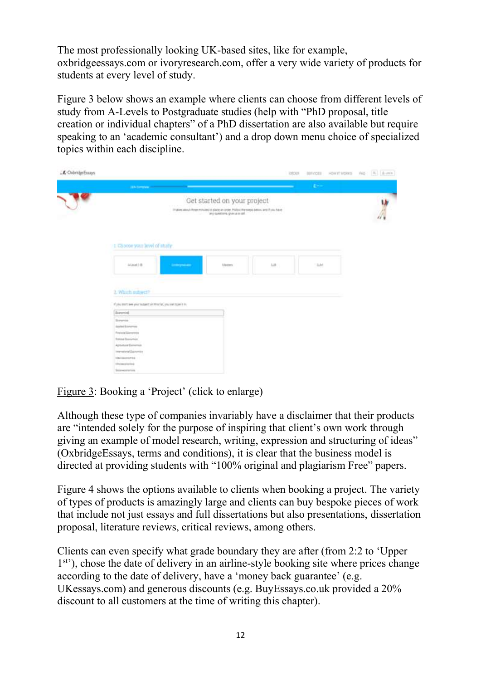The most professionally looking UK-based sites, like for example, oxbridgeessays.com or ivoryresearch.com, offer a very wide variety of products for students at every level of study.

Figure 3 below shows an example where clients can choose from different levels of study from A-Levels to Postgraduate studies (help with "PhD proposal, title creation or individual chapters" of a PhD dissertation are also available but require speaking to an 'academic consultant') and a drop down menu choice of specialized topics within each discipline.

| LE OxbridgeEssays | <b>CHOCK</b><br><b>BEFFICES</b>                                                                                          | HORTENDOS AQ: [8] Avex |
|-------------------|--------------------------------------------------------------------------------------------------------------------------|------------------------|
|                   | <b>CO</b><br><b>January Co.</b>                                                                                          |                        |
|                   | Get started on your project<br>If takes along himself to minimi in place an order. Policy the suspicions and if you have | W)                     |
|                   | 1. Choose your level of study:                                                                                           |                        |
|                   | in Lincoln<br>118<br>HH.<br><b>Links painter</b><br>Users                                                                |                        |
|                   | 2. Which subject?                                                                                                        |                        |
|                   | If you don't see your subject you to a fan, you can type it in                                                           |                        |
|                   | Externist                                                                                                                |                        |
|                   | Elektronica<br>Assian Bronumus<br><b>Regional Elementary</b><br><b>Banker Bosniernice</b>                                |                        |
|                   | Aprumuse Evenement<br>transiele Danmie<br><b>Management</b>                                                              |                        |
|                   | <b><i>Unimoral</i></b><br>Soverence                                                                                      |                        |

Figure 3: Booking a 'Project' (click to enlarge)

Although these type of companies invariably have a disclaimer that their products are "intended solely for the purpose of inspiring that client's own work through giving an example of model research, writing, expression and structuring of ideas" (OxbridgeEssays, terms and conditions), it is clear that the business model is directed at providing students with "100% original and plagiarism Free" papers.

Figure 4 shows the options available to clients when booking a project. The variety of types of products is amazingly large and clients can buy bespoke pieces of work that include not just essays and full dissertations but also presentations, dissertation proposal, literature reviews, critical reviews, among others.

Clients can even specify what grade boundary they are after (from 2:2 to 'Upper 1<sup>st</sup>), chose the date of delivery in an airline-style booking site where prices change according to the date of delivery, have a 'money back guarantee' (e.g. UKessays.com) and generous discounts (e.g. BuyEssays.co.uk provided a 20% discount to all customers at the time of writing this chapter).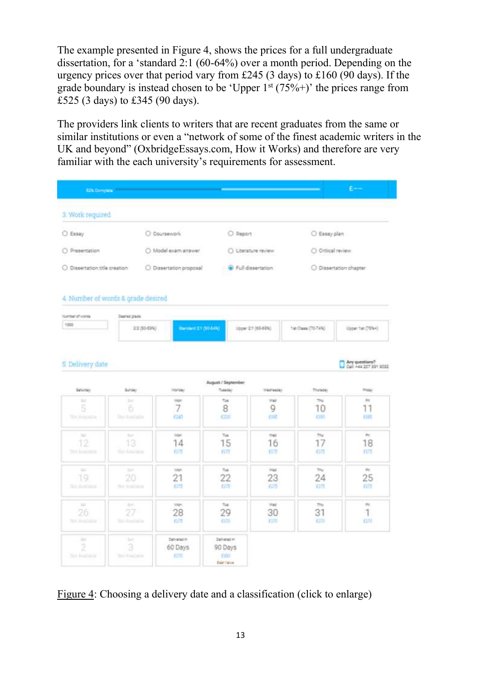The example presented in Figure 4, shows the prices for a full undergraduate dissertation, for a 'standard 2:1 (60-64%) over a month period. Depending on the urgency prices over that period vary from £245 (3 days) to £160 (90 days). If the grade boundary is instead chosen to be 'Upper  $1<sup>st</sup> (75\%+)$ ' the prices range from £525 (3 days) to £345 (90 days).

The providers link clients to writers that are recent graduates from the same or similar institutions or even a "network of some of the finest academic writers in the UK and beyond" (OxbridgeEssays.com, How it Works) and therefore are very familiar with the each university's requirements for assessment.

| <b>B2N Complete</b>                          |                                                                  |                                 |                                                   |                                   |                               | $B \rightarrow B$                      |
|----------------------------------------------|------------------------------------------------------------------|---------------------------------|---------------------------------------------------|-----------------------------------|-------------------------------|----------------------------------------|
| 3. Work required                             |                                                                  |                                 |                                                   |                                   |                               |                                        |
| $O$ Essay                                    |                                                                  | O Coursework                    |                                                   | O Report                          | C Essay plan                  |                                        |
| C Presentation                               |                                                                  | O Model exam answer             |                                                   | C) Literature review              | O Ottical review              |                                        |
| O Dissertation title creation                |                                                                  | O Dissertation proposal         |                                                   | Full dissertation                 |                               | O Dissertation chapter                 |
| Nambel of Horiza<br>1000                     | 4. Number of words & grade desired<br>Deamed grade<br>22/30-0910 | Standard 21 (60 64h)            |                                                   | Upper 2:1 (65-60%)                | 1st Class (70-74%)            | Upper Tel: (75%4)                      |
| 5. Delivery date                             |                                                                  |                                 | August / September<br>Tuesday                     |                                   |                               | Calc 444 207 391 9032                  |
| Saturday.<br><b>SH</b>                       | Sunday<br>$\mathbb{R}$                                           | Monday<br>tapi                  | Tot                                               | Wednesday<br>Vist                 | Thuraday<br>$\overline{\sim}$ | <b>Priday</b><br>$2\pi$                |
| 5<br><b>Slot Aviscatile</b>                  | 6<br><b>Michael Advertising</b>                                  | 7<br>ns                         | 8<br>œ                                            | 9<br>信道                           | 10<br>1333                    | 11<br>nm                               |
| $=$<br>12                                    | <b>Sec.</b><br>13                                                | <b>SAM</b><br>14                | Tue<br>15                                         | Yout<br>16                        | Thu<br>17                     | $2\pi$<br>18                           |
| <b>Six Analysis</b>                          | The Amelons                                                      | 的话                              | fiffs                                             | 605                               | 仰移                            | 675                                    |
| $\sim$<br>19<br>Suc Australia                | tur.<br>20<br>Not demittable                                     | tain.<br>21<br>£175             | Tue.<br>22<br>675                                 | Yout<br>23<br><b>EDS</b>          | thu.<br>24<br>0.75            | $\alpha_{\rm C}$<br>25<br>025          |
| 26<br><b>SEN AVAILABLE</b>                   | be.<br>27<br>Stat Annibilitie                                    | tutori.<br>28<br>cm             | Tue<br>29<br>cm                                   | <b>Wild:</b><br>30<br><b>King</b> | The<br>31<br>670              | $\sigma_{\rm{III}}$<br>1<br><b>CUN</b> |
| <b>Date</b><br>$\overline{2}$<br>Sid Ambiela | by.<br>3<br><b>SULFINGER</b>                                     | Definersalim<br>60 Days<br>4370 | Dehierschn<br>90 Days<br>680<br><b>Bast Halve</b> |                                   |                               |                                        |

Figure 4: Choosing a delivery date and a classification (click to enlarge)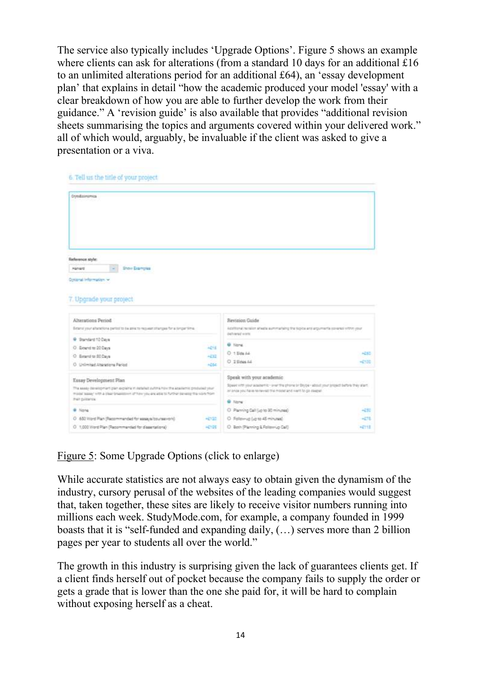The service also typically includes 'Upgrade Options'. Figure 5 shows an example where clients can ask for alterations (from a standard 10 days for an additional £16 to an unlimited alterations period for an additional £64), an 'essay development plan' that explains in detail "how the academic produced your model 'essay' with a clear breakdown of how you are able to further develop the work from their guidance." A 'revision guide' is also available that provides "additional revision sheets summarising the topics and arguments covered within your delivered work." all of which would, arguably, be invaluable if the client was asked to give a presentation or a viva.

| Crystalasmamus                                                                                                                                                                                                                |                                                                                                                                                              |         |
|-------------------------------------------------------------------------------------------------------------------------------------------------------------------------------------------------------------------------------|--------------------------------------------------------------------------------------------------------------------------------------------------------------|---------|
| Reference style:<br><b>Iner Bancles</b><br>Hansid<br>Collared Information w                                                                                                                                                   |                                                                                                                                                              |         |
|                                                                                                                                                                                                                               |                                                                                                                                                              |         |
| Alterations Period.<br>Betanut your advertising particle to be asked to request of anyons for a longer time.                                                                                                                  | Revision Guide<br>Additional receiving abouts aumonariaing the topics and arguments covered within your                                                      |         |
| <b>Standard 10 Days</b><br>٠                                                                                                                                                                                                  | distributorial in term.                                                                                                                                      |         |
| 4218<br>O Extend to 20 Days                                                                                                                                                                                                   | <b>G</b> None                                                                                                                                                |         |
| O Extend to 80 Days<br>$+232$                                                                                                                                                                                                 | $0.1584\text{ }\mu$                                                                                                                                          | 42.67   |
| 4264<br>O Unimited Atlentions Period                                                                                                                                                                                          | C 2504444                                                                                                                                                    | $-1550$ |
|                                                                                                                                                                                                                               | Speak with your academic                                                                                                                                     |         |
| Essay Development Plan<br>The executive demancy many plan explains in installant put the first three dealership produced your<br>model telepi with a clear breaktown of how you are allie to further several the kontribution | Source: Http://www.acupernic- over the phone or Skyte - about your project before they alant.<br>an ance you have no nevel that model and want to go stepen. |         |
| that pulparios.                                                                                                                                                                                                               | <b>Q</b> Norw                                                                                                                                                |         |
| <b>B</b> None                                                                                                                                                                                                                 | C Planning Call Extra 30 minutes)                                                                                                                            | -252    |
| 7. Upgrade your project<br>O 600 Word Plan (Recommended for essays/bourse-rold)<br>$-2122$                                                                                                                                    | O Followed (up to 45 minutes)                                                                                                                                | $-271$  |

Figure 5: Some Upgrade Options (click to enlarge)

While accurate statistics are not always easy to obtain given the dynamism of the industry, cursory perusal of the websites of the leading companies would suggest that, taken together, these sites are likely to receive visitor numbers running into millions each week. StudyMode.com, for example, a company founded in 1999 boasts that it is "self-funded and expanding daily, (…) serves more than 2 billion pages per year to students all over the world."

The growth in this industry is surprising given the lack of guarantees clients get. If a client finds herself out of pocket because the company fails to supply the order or gets a grade that is lower than the one she paid for, it will be hard to complain without exposing herself as a cheat.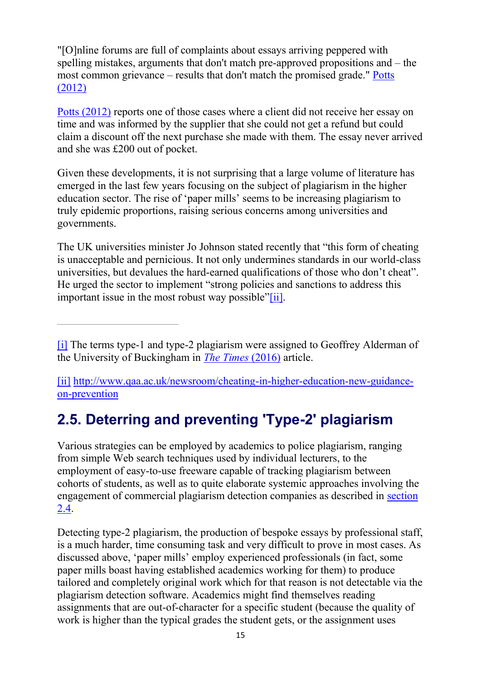"[O]nline forums are full of complaints about essays arriving peppered with spelling mistakes, arguments that don't match pre-approved propositions and – the most common grievance – results that don't match the promised grade." [Potts](https://www.economicsnetwork.ac.uk/refs#Potts)  [\(2012\)](https://www.economicsnetwork.ac.uk/refs#Potts)

[Potts \(2012\)](https://www.economicsnetwork.ac.uk/refs#Potts) reports one of those cases where a client did not receive her essay on time and was informed by the supplier that she could not get a refund but could claim a discount off the next purchase she made with them. The essay never arrived and she was £200 out of pocket.

Given these developments, it is not surprising that a large volume of literature has emerged in the last few years focusing on the subject of plagiarism in the higher education sector. The rise of 'paper mills' seems to be increasing plagiarism to truly epidemic proportions, raising serious concerns among universities and governments.

The UK universities minister Jo Johnson stated recently that "this form of cheating is unacceptable and pernicious. It not only undermines standards in our world-class universities, but devalues the hard-earned qualifications of those who don't cheat". He urged the sector to implement "strong policies and sanctions to address this important issue in the most robust way possible"[\[ii\].](https://www.economicsnetwork.ac.uk/#_edn2)

[\[ii\]](https://www.economicsnetwork.ac.uk/#_ednref2) [http://www.qaa.ac.uk/newsroom/cheating-in-higher-education-new-guidance](http://www.qaa.ac.uk/newsroom/cheating-in-higher-education-new-guidance-on-prevention)[on-prevention](http://www.qaa.ac.uk/newsroom/cheating-in-higher-education-new-guidance-on-prevention)

## <span id="page-14-0"></span>2.5. Deterring and preventing 'Type-2' plagiarism

Various strategies can be employed by academics to police plagiarism, ranging from simple Web search techniques used by individual lecturers, to the employment of easy-to-use freeware capable of tracking plagiarism between cohorts of students, as well as to quite elaborate systemic approaches involving the engagement of commercial plagiarism detection companies as described in [section](https://www.economicsnetwork.ac.uk/handbook/plagiarism_he/24)  [2.4.](https://www.economicsnetwork.ac.uk/handbook/plagiarism_he/24)

Detecting type-2 plagiarism, the production of bespoke essays by professional staff, is a much harder, time consuming task and very difficult to prove in most cases. As discussed above, 'paper mills' employ experienced professionals (in fact, some paper mills boast having established academics working for them) to produce tailored and completely original work which for that reason is not detectable via the plagiarism detection software. Academics might find themselves reading assignments that are out-of-character for a specific student (because the quality of work is higher than the typical grades the student gets, or the assignment uses

[<sup>\[</sup>i\]](https://www.economicsnetwork.ac.uk/#_ednref1) The terms type-1 and type-2 plagiarism were assigned to Geoffrey Alderman of the University of Buckingham in *[The Times](https://www.economicsnetwork.ac.uk/refs#Times2016)* (2016) article.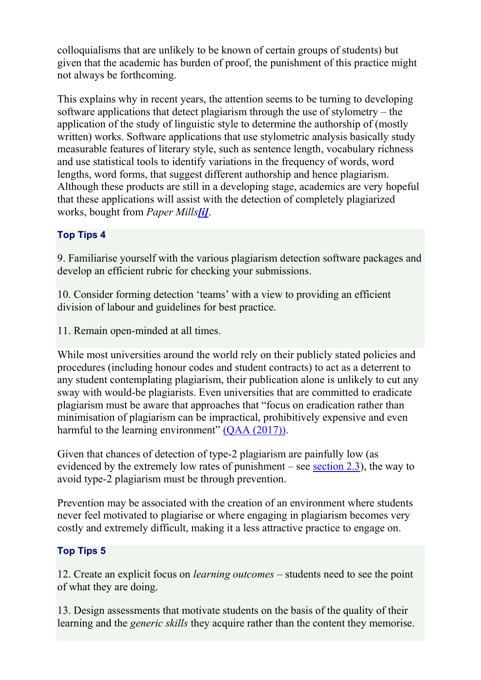colloquialisms that are unlikely to be known of certain groups of students) but given that the academic has burden of proof, the punishment of this practice might not always be forthcoming.

This explains why in recent years, the attention seems to be turning to developing software applications that detect plagiarism through the use of stylometry – the application of the study of linguistic style to determine the authorship of (mostly written) works. Software applications that use stylometric analysis basically study measurable features of literary style, such as sentence length, vocabulary richness and use statistical tools to identify variations in the frequency of words, word lengths, word forms, that suggest different authorship and hence plagiarism. Although these products are still in a developing stage, academics are very hopeful that these applications will assist with the detection of completely plagiarized works, bought from *Paper Mills[\[i\]](https://www.economicsnetwork.ac.uk/#_edn1)*.

### Top Tips 4

9. Familiarise yourself with the various plagiarism detection software packages and develop an efficient rubric for checking your submissions.

10. Consider forming detection 'teams' with a view to providing an efficient division of labour and guidelines for best practice.

11. Remain open-minded at all times.

While most universities around the world rely on their publicly stated policies and procedures (including honour codes and student contracts) to act as a deterrent to any student contemplating plagiarism, their publication alone is unlikely to cut any sway with would-be plagiarists. Even universities that are committed to eradicate plagiarism must be aware that approaches that "focus on eradication rather than minimisation of plagiarism can be impractical, prohibitively expensive and even harmful to the learning environment" [\(QAA \(2017\)\).](https://www.economicsnetwork.ac.uk/refs#QAA2017)

Given that chances of detection of type-2 plagiarism are painfully low (as evidenced by the extremely low rates of punishment – see [section 2.3\)](https://www.economicsnetwork.ac.uk/handbook/plagiarism_he/23), the way to avoid type-2 plagiarism must be through prevention.

Prevention may be associated with the creation of an environment where students never feel motivated to plagiarise or where engaging in plagiarism becomes very costly and extremely difficult, making it a less attractive practice to engage on.

### Top Tips 5

12. Create an explicit focus on *learning outcomes* – students need to see the point of what they are doing.

13. Design assessments that motivate students on the basis of the quality of their learning and the *generic skills* they acquire rather than the content they memorise.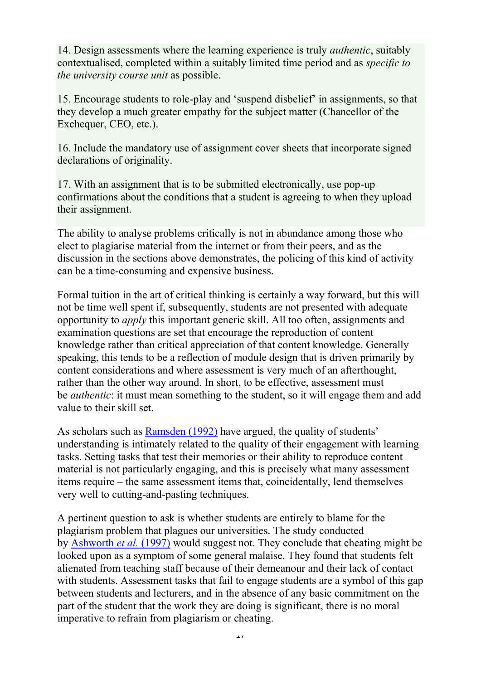14. Design assessments where the learning experience is truly *authentic*, suitably contextualised, completed within a suitably limited time period and as *specific to the university course unit* as possible.

15. Encourage students to role-play and 'suspend disbelief' in assignments, so that they develop a much greater empathy for the subject matter (Chancellor of the Exchequer, CEO, etc.).

16. Include the mandatory use of assignment cover sheets that incorporate signed declarations of originality.

17. With an assignment that is to be submitted electronically, use pop-up confirmations about the conditions that a student is agreeing to when they upload their assignment.

The ability to analyse problems critically is not in abundance among those who elect to plagiarise material from the internet or from their peers, and as the discussion in the sections above demonstrates, the policing of this kind of activity can be a time-consuming and expensive business.

Formal tuition in the art of critical thinking is certainly a way forward, but this will not be time well spent if, subsequently, students are not presented with adequate opportunity to *apply* this important generic skill. All too often, assignments and examination questions are set that encourage the reproduction of content knowledge rather than critical appreciation of that content knowledge. Generally speaking, this tends to be a reflection of module design that is driven primarily by content considerations and where assessment is very much of an afterthought, rather than the other way around. In short, to be effective, assessment must be *authentic*: it must mean something to the student, so it will engage them and add value to their skill set.

As scholars such as [Ramsden \(1992\)](https://www.economicsnetwork.ac.uk/refs#Ramsden) have argued, the quality of students' understanding is intimately related to the quality of their engagement with learning tasks. Setting tasks that test their memories or their ability to reproduce content material is not particularly engaging, and this is precisely what many assessment items require – the same assessment items that, coincidentally, lend themselves very well to cutting-and-pasting techniques.

A pertinent question to ask is whether students are entirely to blame for the plagiarism problem that plagues our universities. The study conducted by [Ashworth](https://www.economicsnetwork.ac.uk/refs#Ashworth) *et al.* (1997) would suggest not. They conclude that cheating might be looked upon as a symptom of some general malaise. They found that students felt alienated from teaching staff because of their demeanour and their lack of contact with students. Assessment tasks that fail to engage students are a symbol of this gap between students and lecturers, and in the absence of any basic commitment on the part of the student that the work they are doing is significant, there is no moral imperative to refrain from plagiarism or cheating.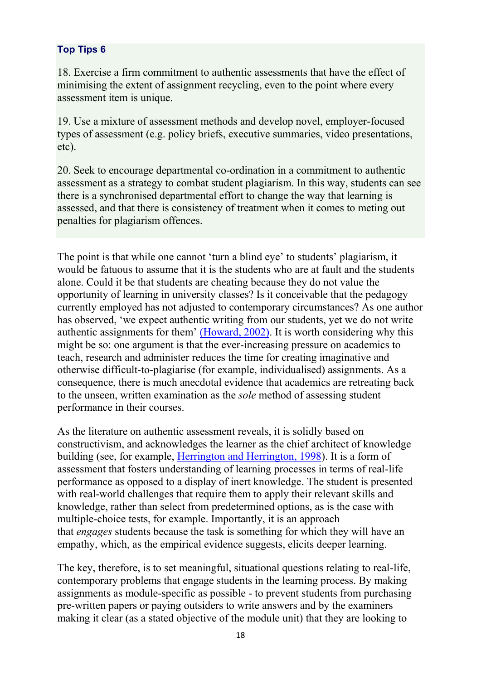#### Top Tips 6

18. Exercise a firm commitment to authentic assessments that have the effect of minimising the extent of assignment recycling, even to the point where every assessment item is unique.

19. Use a mixture of assessment methods and develop novel, employer-focused types of assessment (e.g. policy briefs, executive summaries, video presentations, etc).

20. Seek to encourage departmental co-ordination in a commitment to authentic assessment as a strategy to combat student plagiarism. In this way, students can see there is a synchronised departmental effort to change the way that learning is assessed, and that there is consistency of treatment when it comes to meting out penalties for plagiarism offences.

The point is that while one cannot 'turn a blind eye' to students' plagiarism, it would be fatuous to assume that it is the students who are at fault and the students alone. Could it be that students are cheating because they do not value the opportunity of learning in university classes? Is it conceivable that the pedagogy currently employed has not adjusted to contemporary circumstances? As one author has observed, 'we expect authentic writing from our students, yet we do not write authentic assignments for them' [\(Howard, 2002\).](https://www.economicsnetwork.ac.uk/refs#Howard) It is worth considering why this might be so: one argument is that the ever-increasing pressure on academics to teach, research and administer reduces the time for creating imaginative and otherwise difficult-to-plagiarise (for example, individualised) assignments. As a consequence, there is much anecdotal evidence that academics are retreating back to the unseen, written examination as the *sole* method of assessing student performance in their courses.

As the literature on authentic assessment reveals, it is solidly based on constructivism, and acknowledges the learner as the chief architect of knowledge building (see, for example, [Herrington and Herrington, 1998\)](https://www.economicsnetwork.ac.uk/refs#Herrington). It is a form of assessment that fosters understanding of learning processes in terms of real-life performance as opposed to a display of inert knowledge. The student is presented with real-world challenges that require them to apply their relevant skills and knowledge, rather than select from predetermined options, as is the case with multiple-choice tests, for example. Importantly, it is an approach that *engages* students because the task is something for which they will have an empathy, which, as the empirical evidence suggests, elicits deeper learning.

The key, therefore, is to set meaningful, situational questions relating to real-life, contemporary problems that engage students in the learning process. By making assignments as module-specific as possible - to prevent students from purchasing pre-written papers or paying outsiders to write answers and by the examiners making it clear (as a stated objective of the module unit) that they are looking to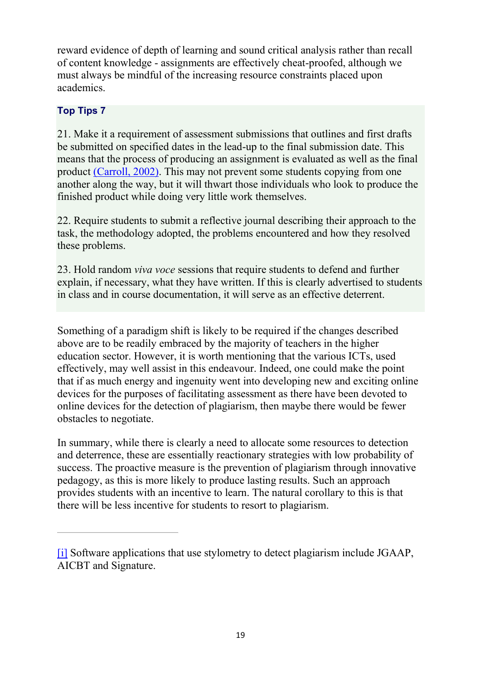reward evidence of depth of learning and sound critical analysis rather than recall of content knowledge - assignments are effectively cheat-proofed, although we must always be mindful of the increasing resource constraints placed upon academics.

#### Top Tips 7

21. Make it a requirement of assessment submissions that outlines and first drafts be submitted on specified dates in the lead-up to the final submission date. This means that the process of producing an assignment is evaluated as well as the final product [\(Carroll, 2002\).](https://www.economicsnetwork.ac.uk/refs#Carroll) This may not prevent some students copying from one another along the way, but it will thwart those individuals who look to produce the finished product while doing very little work themselves.

22. Require students to submit a reflective journal describing their approach to the task, the methodology adopted, the problems encountered and how they resolved these problems.

23. Hold random *viva voce* sessions that require students to defend and further explain, if necessary, what they have written. If this is clearly advertised to students in class and in course documentation, it will serve as an effective deterrent.

Something of a paradigm shift is likely to be required if the changes described above are to be readily embraced by the majority of teachers in the higher education sector. However, it is worth mentioning that the various ICTs, used effectively, may well assist in this endeavour. Indeed, one could make the point that if as much energy and ingenuity went into developing new and exciting online devices for the purposes of facilitating assessment as there have been devoted to online devices for the detection of plagiarism, then maybe there would be fewer obstacles to negotiate.

In summary, while there is clearly a need to allocate some resources to detection and deterrence, these are essentially reactionary strategies with low probability of success. The proactive measure is the prevention of plagiarism through innovative pedagogy, as this is more likely to produce lasting results. Such an approach provides students with an incentive to learn. The natural corollary to this is that there will be less incentive for students to resort to plagiarism.

<span id="page-18-0"></span>[<sup>\[</sup>i\]](https://www.economicsnetwork.ac.uk/#_ednref1) Software applications that use stylometry to detect plagiarism include JGAAP, AICBT and Signature.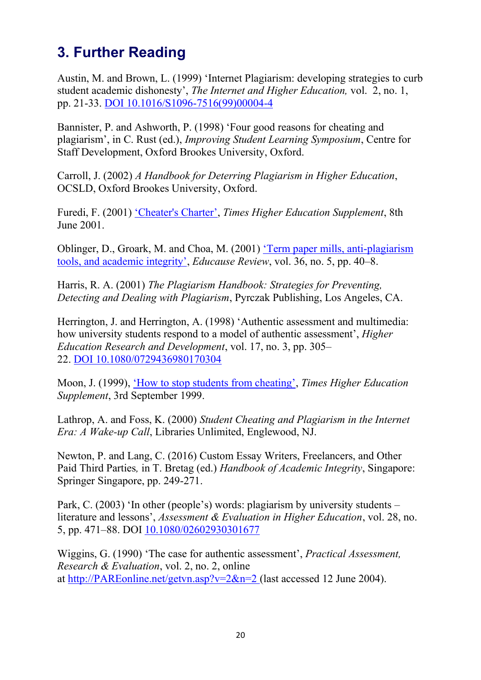### 3. Further Reading

Austin, M. and Brown, L. (1999) 'Internet Plagiarism: developing strategies to curb student academic dishonesty', *The Internet and Higher Education,* vol. 2, no. 1, pp. 21-33. DOI [10.1016/S1096-7516\(99\)00004-4](http://doi.org/10.1016/S1096-7516(99)00004-4)

Bannister, P. and Ashworth, P. (1998) 'Four good reasons for cheating and plagiarism', in C. Rust (ed.), *Improving Student Learning Symposium*, Centre for Staff Development, Oxford Brookes University, Oxford.

Carroll, J. (2002) *A Handbook for Deterring Plagiarism in Higher Education*, OCSLD, Oxford Brookes University, Oxford.

Furedi, F. (2001) ['Cheater's Charter'](https://www.timeshighereducation.com/news/cheaters-charter/160965.article), *Times Higher Education Supplement*, 8th June 2001.

Oblinger, D., Groark, M. and Choa, M. (2001) ['Term paper mills, anti](https://er.educause.edu/articles/2001/1/term-paper-mills-antiplagiarism-tools-and-academic-integrity)-plagiarism [tools, and academic integrity'](https://er.educause.edu/articles/2001/1/term-paper-mills-antiplagiarism-tools-and-academic-integrity), *Educause Review*, vol. 36, no. 5, pp. 40–8.

Harris, R. A. (2001) *The Plagiarism Handbook: Strategies for Preventing, Detecting and Dealing with Plagiarism*, Pyrczak Publishing, Los Angeles, CA.

Herrington, J. and Herrington, A. (1998) 'Authentic assessment and multimedia: how university students respond to a model of authentic assessment', *Higher Education Research and Development*, vol. 17, no. 3, pp. 305– 22. DOI [10.1080/0729436980170304](http://doi.org/10.1080/0729436980170304)

Moon, J. (1999), ['How to stop students from cheating'](https://www.timeshighereducation.com/news/how-tostop-students-from-cheating/147580.article), *Times Higher Education Supplement*, 3rd September 1999.

Lathrop, A. and Foss, K. (2000) *Student Cheating and Plagiarism in the Internet Era: A Wake-up Call*, Libraries Unlimited, Englewood, NJ.

Newton, P. and Lang, C. (2016) Custom Essay Writers, Freelancers, and Other Paid Third Parties*,* in T. Bretag (ed.) *Handbook of Academic Integrity*, Singapore: Springer Singapore, pp. 249-271.

Park, C. (2003) 'In other (people's) words: plagiarism by university students – literature and lessons', *Assessment & Evaluation in Higher Education*, vol. 28, no. 5, pp. 471–88. DOI [10.1080/02602930301677](http://doi.org/10.1080/02602930301677)

<span id="page-19-0"></span>Wiggins, G. (1990) 'The case for authentic assessment', *Practical Assessment, Research & Evaluation*, vol. 2, no. 2, online at [http://PAREonline.net/getvn.asp?v=2&n=2](http://pareonline.net/getvn.asp?v=2&n=2%20) (last accessed 12 June 2004).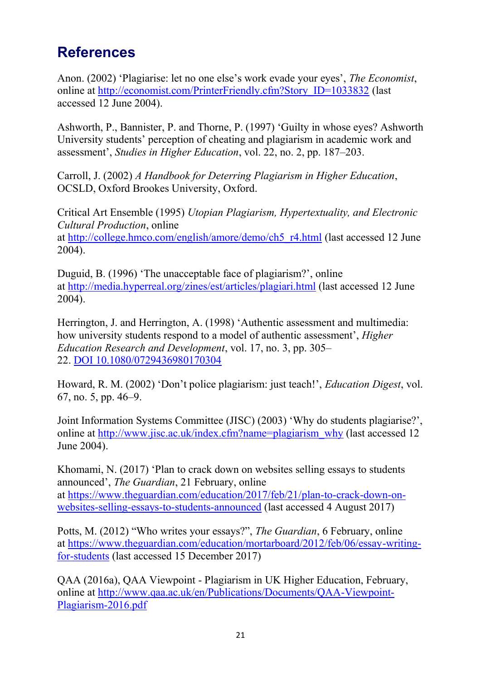### References

Anon. (2002) 'Plagiarise: let no one else's work evade your eyes', *The Economist*, online at [http://economist.com/PrinterFriendly.cfm?Story\\_ID=1033832](http://economist.com/PrinterFriendly.cfm?Story_ID=1033832) (last accessed 12 June 2004).

Ashworth, P., Bannister, P. and Thorne, P. (1997) 'Guilty in whose eyes? Ashworth University students' perception of cheating and plagiarism in academic work and assessment', *Studies in Higher Education*, vol. 22, no. 2, pp. 187–203.

Carroll, J. (2002) *A Handbook for Deterring Plagiarism in Higher Education*, OCSLD, Oxford Brookes University, Oxford.

Critical Art Ensemble (1995) *Utopian Plagiarism, Hypertextuality, and Electronic Cultural Production*, online at [http://college.hmco.com/english/amore/demo/ch5\\_r4.html](http://college.hmco.com/english/amore/demo/ch5_r4.html) (last accessed 12 June 2004).

Duguid, B. (1996) 'The unacceptable face of plagiarism?', online at <http://media.hyperreal.org/zines/est/articles/plagiari.html> (last accessed 12 June 2004).

Herrington, J. and Herrington, A. (1998) 'Authentic assessment and multimedia: how university students respond to a model of authentic assessment', *Higher Education Research and Development*, vol. 17, no. 3, pp. 305– 22. DOI [10.1080/0729436980170304](http://doi.org/10.1080/0729436980170304)

Howard, R. M. (2002) 'Don't police plagiarism: just teach!', *Education Digest*, vol. 67, no. 5, pp. 46–9.

Joint Information Systems Committee (JISC) (2003) 'Why do students plagiarise?', online at [http://www.jisc.ac.uk/index.cfm?name=plagiarism\\_why](http://www.jisc.ac.uk/index.cfm?name=plagiarism_why) (last accessed 12 June 2004).

Khomami, N. (2017) 'Plan to crack down on websites selling essays to students announced', *The Guardian*, 21 February, online at [https://www.theguardian.com/education/2017/feb/21/plan-to-crack-down-on](https://www.theguardian.com/education/2017/feb/21/plan-to-crack-down-on-websites-selling-essays-to-students-announced)[websites-selling-essays-to-students-announced](https://www.theguardian.com/education/2017/feb/21/plan-to-crack-down-on-websites-selling-essays-to-students-announced) (last accessed 4 August 2017)

Potts, M. (2012) "Who writes your essays?", *The Guardian*, 6 February, online at [https://www.theguardian.com/education/mortarboard/2012/feb/06/essay-writing](https://www.theguardian.com/education/mortarboard/2012/feb/06/essay-writing-for-students)[for-students](https://www.theguardian.com/education/mortarboard/2012/feb/06/essay-writing-for-students) (last accessed 15 December 2017)

QAA (2016a), QAA Viewpoint - Plagiarism in UK Higher Education, February, online at [http://www.qaa.ac.uk/en/Publications/Documents/QAA-Viewpoint-](http://www.qaa.ac.uk/en/Publications/Documents/QAA-Viewpoint-Plagiarism-2016.pdf)[Plagiarism-2016.pdf](http://www.qaa.ac.uk/en/Publications/Documents/QAA-Viewpoint-Plagiarism-2016.pdf)